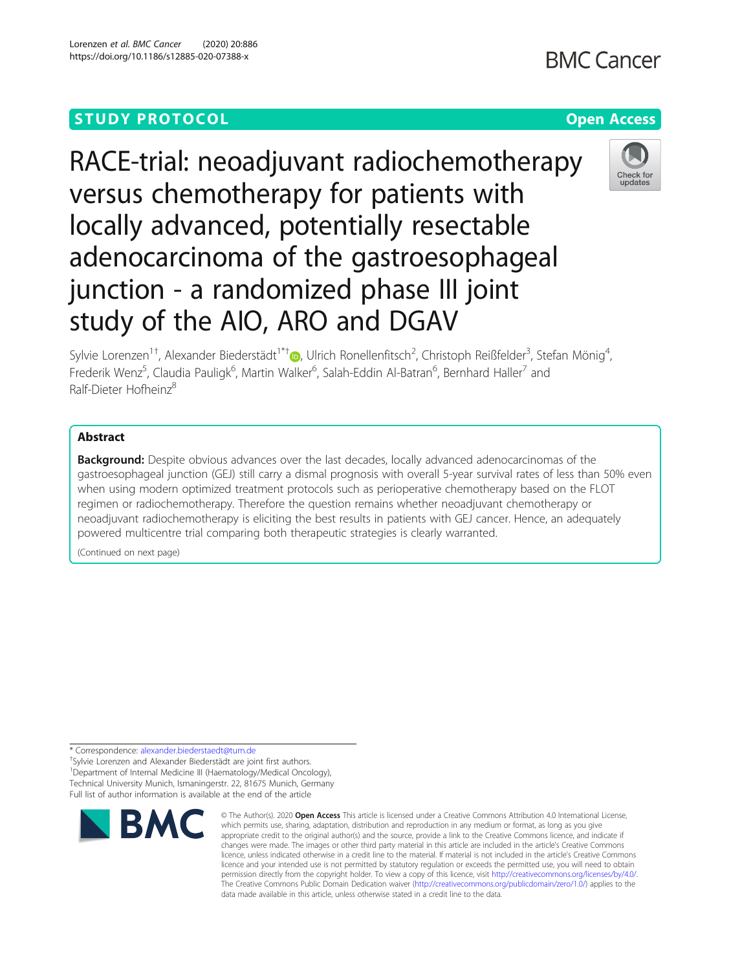# **STUDY PROTOCOL CONSUMING THE RESERVE ACCESS**





Sylvie Lorenzen<sup>1†</sup>[,](http://orcid.org/0000-0003-2805-8231) Alexander Biederstädt<sup>1\*†</sup>®, Ulrich Ronellenfitsch<sup>2</sup>, Christoph Reißfelder<sup>3</sup>, Stefan Mönig<sup>4</sup> , Frederik Wenz<sup>5</sup>, Claudia Pauligk<sup>6</sup>, Martin Walker<sup>6</sup>, Salah-Eddin Al-Batran<sup>6</sup>, Bernhard Haller<sup>7</sup> and Ralf-Dieter Hofheinz<sup>8</sup>

# Abstract

**Background:** Despite obvious advances over the last decades, locally advanced adenocarcinomas of the gastroesophageal junction (GEJ) still carry a dismal prognosis with overall 5-year survival rates of less than 50% even when using modern optimized treatment protocols such as perioperative chemotherapy based on the FLOT regimen or radiochemotherapy. Therefore the question remains whether neoadjuvant chemotherapy or neoadjuvant radiochemotherapy is eliciting the best results in patients with GEJ cancer. Hence, an adequately powered multicentre trial comparing both therapeutic strategies is clearly warranted.

(Continued on next page)

\* Correspondence: [alexander.biederstaedt@tum.de](mailto:alexander.biederstaedt@tum.de) †

Sylvie Lorenzen and Alexander Biederstädt are joint first authors. <sup>1</sup>Department of Internal Medicine III (Haematology/Medical Oncology), Technical University Munich, Ismaningerstr. 22, 81675 Munich, Germany Full list of author information is available at the end of the article



<sup>©</sup> The Author(s), 2020 **Open Access** This article is licensed under a Creative Commons Attribution 4.0 International License, which permits use, sharing, adaptation, distribution and reproduction in any medium or format, as long as you give appropriate credit to the original author(s) and the source, provide a link to the Creative Commons licence, and indicate if changes were made. The images or other third party material in this article are included in the article's Creative Commons licence, unless indicated otherwise in a credit line to the material. If material is not included in the article's Creative Commons licence and your intended use is not permitted by statutory regulation or exceeds the permitted use, you will need to obtain permission directly from the copyright holder. To view a copy of this licence, visit [http://creativecommons.org/licenses/by/4.0/.](http://creativecommons.org/licenses/by/4.0/) The Creative Commons Public Domain Dedication waiver [\(http://creativecommons.org/publicdomain/zero/1.0/](http://creativecommons.org/publicdomain/zero/1.0/)) applies to the data made available in this article, unless otherwise stated in a credit line to the data.

**BMC Cancer**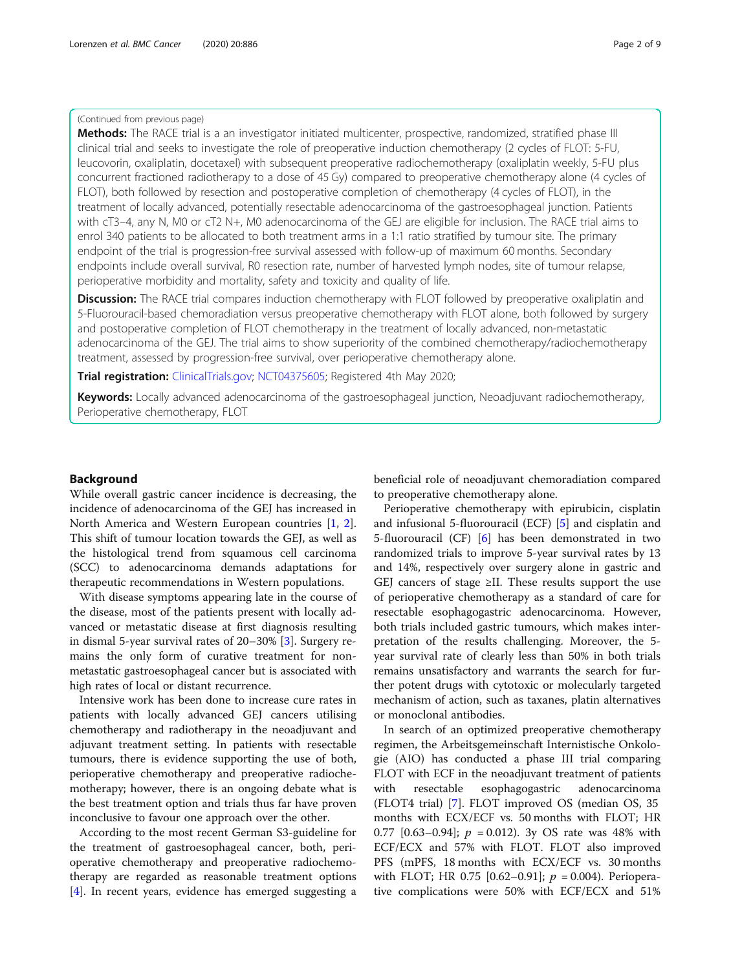# (Continued from previous page)

Methods: The RACE trial is a an investigator initiated multicenter, prospective, randomized, stratified phase III clinical trial and seeks to investigate the role of preoperative induction chemotherapy (2 cycles of FLOT: 5-FU, leucovorin, oxaliplatin, docetaxel) with subsequent preoperative radiochemotherapy (oxaliplatin weekly, 5-FU plus concurrent fractioned radiotherapy to a dose of 45 Gy) compared to preoperative chemotherapy alone (4 cycles of FLOT), both followed by resection and postoperative completion of chemotherapy (4 cycles of FLOT), in the treatment of locally advanced, potentially resectable adenocarcinoma of the gastroesophageal junction. Patients with cT3–4, any N, M0 or cT2 N+, M0 adenocarcinoma of the GEJ are eligible for inclusion. The RACE trial aims to enrol 340 patients to be allocated to both treatment arms in a 1:1 ratio stratified by tumour site. The primary endpoint of the trial is progression-free survival assessed with follow-up of maximum 60 months. Secondary endpoints include overall survival, R0 resection rate, number of harvested lymph nodes, site of tumour relapse, perioperative morbidity and mortality, safety and toxicity and quality of life.

**Discussion:** The RACE trial compares induction chemotherapy with FLOT followed by preoperative oxaliplatin and 5-Fluorouracil-based chemoradiation versus preoperative chemotherapy with FLOT alone, both followed by surgery and postoperative completion of FLOT chemotherapy in the treatment of locally advanced, non-metastatic adenocarcinoma of the GEJ. The trial aims to show superiority of the combined chemotherapy/radiochemotherapy treatment, assessed by progression-free survival, over perioperative chemotherapy alone.

Trial registration: [ClinicalTrials.gov](http://clinicaltrials.gov); [NCT04375605;](https://clinicaltrials.gov/ct2/show/NCT04375605) Registered 4th May 2020;

Keywords: Locally advanced adenocarcinoma of the gastroesophageal junction, Neoadjuvant radiochemotherapy, Perioperative chemotherapy, FLOT

### Background

While overall gastric cancer incidence is decreasing, the incidence of adenocarcinoma of the GEJ has increased in North America and Western European countries [\[1](#page-7-0), [2](#page-7-0)]. This shift of tumour location towards the GEJ, as well as the histological trend from squamous cell carcinoma (SCC) to adenocarcinoma demands adaptations for therapeutic recommendations in Western populations.

With disease symptoms appearing late in the course of the disease, most of the patients present with locally advanced or metastatic disease at first diagnosis resulting in dismal 5-year survival rates of 20–30% [[3\]](#page-7-0). Surgery remains the only form of curative treatment for nonmetastatic gastroesophageal cancer but is associated with high rates of local or distant recurrence.

Intensive work has been done to increase cure rates in patients with locally advanced GEJ cancers utilising chemotherapy and radiotherapy in the neoadjuvant and adjuvant treatment setting. In patients with resectable tumours, there is evidence supporting the use of both, perioperative chemotherapy and preoperative radiochemotherapy; however, there is an ongoing debate what is the best treatment option and trials thus far have proven inconclusive to favour one approach over the other.

According to the most recent German S3-guideline for the treatment of gastroesophageal cancer, both, perioperative chemotherapy and preoperative radiochemotherapy are regarded as reasonable treatment options [[4\]](#page-7-0). In recent years, evidence has emerged suggesting a beneficial role of neoadjuvant chemoradiation compared to preoperative chemotherapy alone.

Perioperative chemotherapy with epirubicin, cisplatin and infusional 5-fluorouracil (ECF) [\[5](#page-7-0)] and cisplatin and 5-fluorouracil (CF) [\[6](#page-7-0)] has been demonstrated in two randomized trials to improve 5-year survival rates by 13 and 14%, respectively over surgery alone in gastric and GEJ cancers of stage  $\geq$ II. These results support the use of perioperative chemotherapy as a standard of care for resectable esophagogastric adenocarcinoma. However, both trials included gastric tumours, which makes interpretation of the results challenging. Moreover, the 5 year survival rate of clearly less than 50% in both trials remains unsatisfactory and warrants the search for further potent drugs with cytotoxic or molecularly targeted mechanism of action, such as taxanes, platin alternatives or monoclonal antibodies.

In search of an optimized preoperative chemotherapy regimen, the Arbeitsgemeinschaft Internistische Onkologie (AIO) has conducted a phase III trial comparing FLOT with ECF in the neoadjuvant treatment of patients with resectable esophagogastric adenocarcinoma (FLOT4 trial) [\[7](#page-7-0)]. FLOT improved OS (median OS, 35 months with ECX/ECF vs. 50 months with FLOT; HR 0.77 [0.63–0.94];  $p = 0.012$ ). 3y OS rate was 48% with ECF/ECX and 57% with FLOT. FLOT also improved PFS (mPFS, 18 months with ECX/ECF vs. 30 months with FLOT; HR 0.75 [0.62–0.91];  $p = 0.004$ ). Perioperative complications were 50% with ECF/ECX and 51%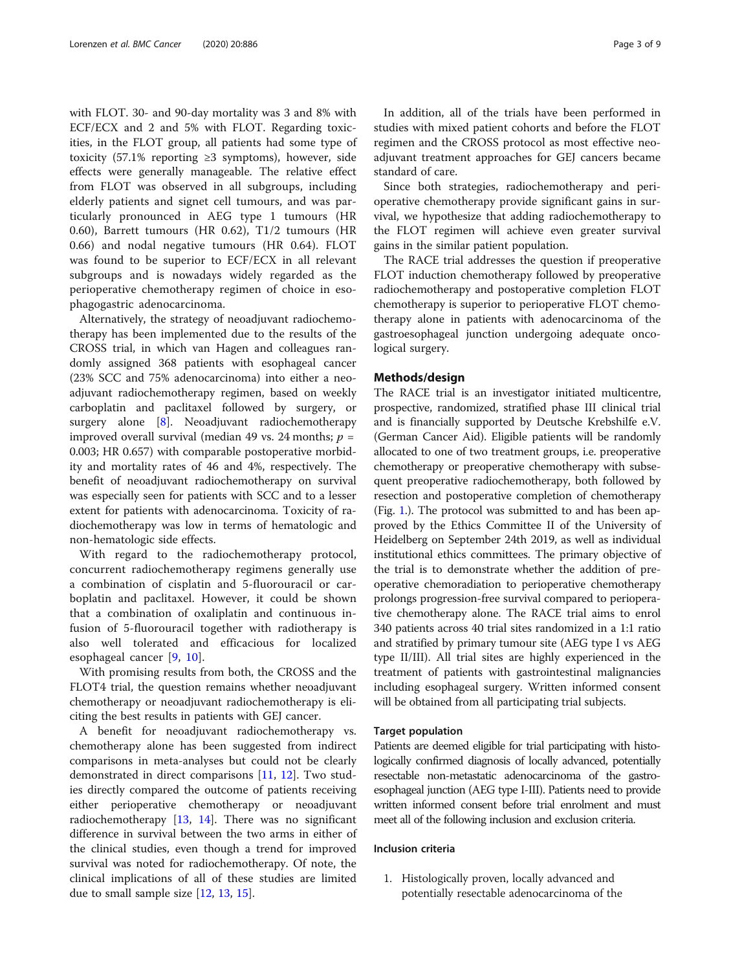with FLOT. 30- and 90-day mortality was 3 and 8% with ECF/ECX and 2 and 5% with FLOT. Regarding toxicities, in the FLOT group, all patients had some type of toxicity (57.1% reporting ≥3 symptoms), however, side effects were generally manageable. The relative effect from FLOT was observed in all subgroups, including elderly patients and signet cell tumours, and was particularly pronounced in AEG type 1 tumours (HR 0.60), Barrett tumours (HR 0.62), T1/2 tumours (HR 0.66) and nodal negative tumours (HR 0.64). FLOT was found to be superior to ECF/ECX in all relevant subgroups and is nowadays widely regarded as the perioperative chemotherapy regimen of choice in esophagogastric adenocarcinoma.

Alternatively, the strategy of neoadjuvant radiochemotherapy has been implemented due to the results of the CROSS trial, in which van Hagen and colleagues randomly assigned 368 patients with esophageal cancer (23% SCC and 75% adenocarcinoma) into either a neoadjuvant radiochemotherapy regimen, based on weekly carboplatin and paclitaxel followed by surgery, or surgery alone  $[8]$  $[8]$ . Neoadjuvant radiochemotherapy improved overall survival (median 49 vs. 24 months;  $p =$ 0.003; HR 0.657) with comparable postoperative morbidity and mortality rates of 46 and 4%, respectively. The benefit of neoadjuvant radiochemotherapy on survival was especially seen for patients with SCC and to a lesser extent for patients with adenocarcinoma. Toxicity of radiochemotherapy was low in terms of hematologic and non-hematologic side effects.

With regard to the radiochemotherapy protocol, concurrent radiochemotherapy regimens generally use a combination of cisplatin and 5-fluorouracil or carboplatin and paclitaxel. However, it could be shown that a combination of oxaliplatin and continuous infusion of 5-fluorouracil together with radiotherapy is also well tolerated and efficacious for localized esophageal cancer [\[9](#page-7-0), [10](#page-7-0)].

With promising results from both, the CROSS and the FLOT4 trial, the question remains whether neoadjuvant chemotherapy or neoadjuvant radiochemotherapy is eliciting the best results in patients with GEJ cancer.

A benefit for neoadjuvant radiochemotherapy vs. chemotherapy alone has been suggested from indirect comparisons in meta-analyses but could not be clearly demonstrated in direct comparisons [\[11](#page-7-0), [12\]](#page-7-0). Two studies directly compared the outcome of patients receiving either perioperative chemotherapy or neoadjuvant radiochemotherapy [\[13](#page-7-0), [14\]](#page-7-0). There was no significant difference in survival between the two arms in either of the clinical studies, even though a trend for improved survival was noted for radiochemotherapy. Of note, the clinical implications of all of these studies are limited due to small sample size [[12,](#page-7-0) [13,](#page-7-0) [15](#page-7-0)].

In addition, all of the trials have been performed in studies with mixed patient cohorts and before the FLOT regimen and the CROSS protocol as most effective neoadjuvant treatment approaches for GEJ cancers became standard of care.

Since both strategies, radiochemotherapy and perioperative chemotherapy provide significant gains in survival, we hypothesize that adding radiochemotherapy to the FLOT regimen will achieve even greater survival gains in the similar patient population.

The RACE trial addresses the question if preoperative FLOT induction chemotherapy followed by preoperative radiochemotherapy and postoperative completion FLOT chemotherapy is superior to perioperative FLOT chemotherapy alone in patients with adenocarcinoma of the gastroesophageal junction undergoing adequate oncological surgery.

#### Methods/design

The RACE trial is an investigator initiated multicentre, prospective, randomized, stratified phase III clinical trial and is financially supported by Deutsche Krebshilfe e.V. (German Cancer Aid). Eligible patients will be randomly allocated to one of two treatment groups, i.e. preoperative chemotherapy or preoperative chemotherapy with subsequent preoperative radiochemotherapy, both followed by resection and postoperative completion of chemotherapy (Fig. [1](#page-3-0).). The protocol was submitted to and has been approved by the Ethics Committee II of the University of Heidelberg on September 24th 2019, as well as individual institutional ethics committees. The primary objective of the trial is to demonstrate whether the addition of preoperative chemoradiation to perioperative chemotherapy prolongs progression-free survival compared to perioperative chemotherapy alone. The RACE trial aims to enrol 340 patients across 40 trial sites randomized in a 1:1 ratio and stratified by primary tumour site (AEG type I vs AEG type II/III). All trial sites are highly experienced in the treatment of patients with gastrointestinal malignancies including esophageal surgery. Written informed consent will be obtained from all participating trial subjects.

#### Target population

Patients are deemed eligible for trial participating with histologically confirmed diagnosis of locally advanced, potentially resectable non-metastatic adenocarcinoma of the gastroesophageal junction (AEG type I-III). Patients need to provide written informed consent before trial enrolment and must meet all of the following inclusion and exclusion criteria.

#### Inclusion criteria

1. Histologically proven, locally advanced and potentially resectable adenocarcinoma of the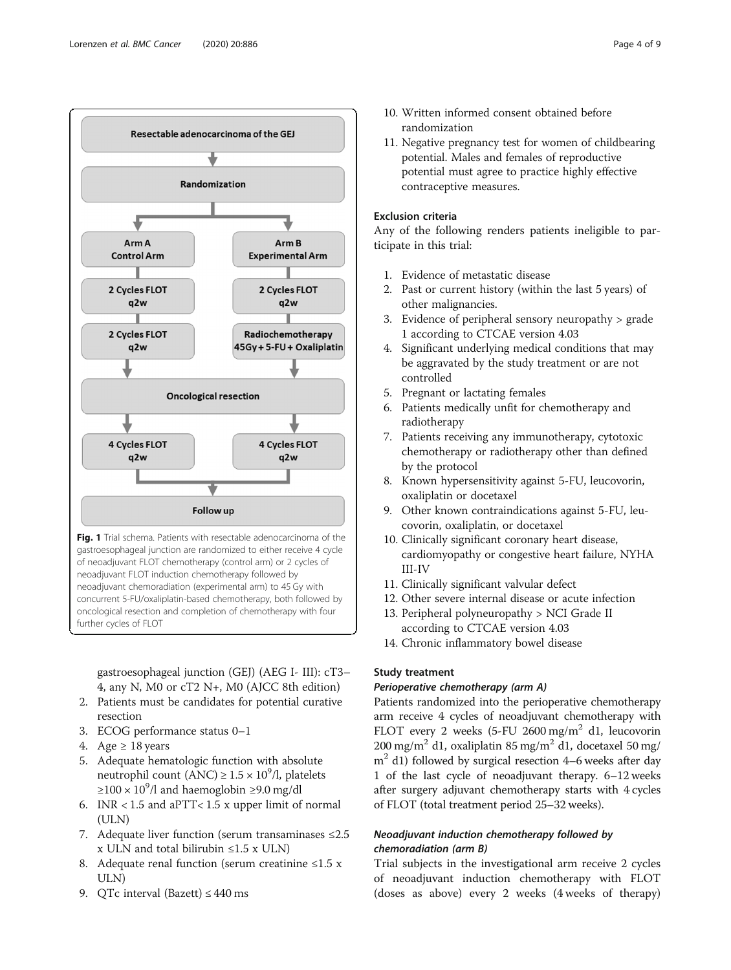<span id="page-3-0"></span>

neoadjuvant chemoradiation (experimental arm) to 45 Gy with concurrent 5-FU/oxaliplatin-based chemotherapy, both followed by oncological resection and completion of chemotherapy with four further cycles of FLOT

gastroesophageal junction (GEJ) (AEG I- III): cT3– 4, any N, M0 or cT2 N+, M0 (AJCC 8th edition)

- 2. Patients must be candidates for potential curative resection
- 3. ECOG performance status 0–1
- 4. Age  $\geq 18$  years
- 5. Adequate hematologic function with absolute neutrophil count (ANC)  $\geq 1.5 \times 10^9$ /l, platelets  $≥100 × 10<sup>9</sup>/l$  and haemoglobin  $≥9.0$  mg/dl
- 6. INR < 1.5 and aPTT< 1.5 x upper limit of normal (ULN)
- 7. Adequate liver function (serum transaminases ≤2.5  $x$  ULN and total bilirubin  $\leq 1.5$  x ULN)
- 8. Adequate renal function (serum creatinine  $\leq 1.5$  x ULN)
- 9. QTc interval (Bazett)  $\leq 440$  ms
- 10. Written informed consent obtained before randomization
- 11. Negative pregnancy test for women of childbearing potential. Males and females of reproductive potential must agree to practice highly effective contraceptive measures.

# Exclusion criteria

Any of the following renders patients ineligible to participate in this trial:

- 1. Evidence of metastatic disease
- 2. Past or current history (within the last 5 years) of other malignancies.
- 3. Evidence of peripheral sensory neuropathy > grade 1 according to CTCAE version 4.03
- 4. Significant underlying medical conditions that may be aggravated by the study treatment or are not controlled
- 5. Pregnant or lactating females
- 6. Patients medically unfit for chemotherapy and radiotherapy
- 7. Patients receiving any immunotherapy, cytotoxic chemotherapy or radiotherapy other than defined by the protocol
- 8. Known hypersensitivity against 5-FU, leucovorin, oxaliplatin or docetaxel
- 9. Other known contraindications against 5-FU, leucovorin, oxaliplatin, or docetaxel
- 10. Clinically significant coronary heart disease, cardiomyopathy or congestive heart failure, NYHA III-IV
- 11. Clinically significant valvular defect
- 12. Other severe internal disease or acute infection
- 13. Peripheral polyneuropathy > NCI Grade II according to CTCAE version 4.03
- 14. Chronic inflammatory bowel disease

# Study treatment

# Perioperative chemotherapy (arm A)

Patients randomized into the perioperative chemotherapy arm receive 4 cycles of neoadjuvant chemotherapy with FLOT every 2 weeks (5-FU 2600 mg/m<sup>2</sup> d1, leucovorin 200 mg/m<sup>2</sup> d1, oxaliplatin 85 mg/m<sup>2</sup> d1, docetaxel 50 mg/  $m<sup>2</sup>$  d1) followed by surgical resection 4–6 weeks after day 1 of the last cycle of neoadjuvant therapy. 6–12 weeks after surgery adjuvant chemotherapy starts with 4 cycles of FLOT (total treatment period 25–32 weeks).

# Neoadjuvant induction chemotherapy followed by chemoradiation (arm B)

Trial subjects in the investigational arm receive 2 cycles of neoadjuvant induction chemotherapy with FLOT (doses as above) every 2 weeks (4 weeks of therapy)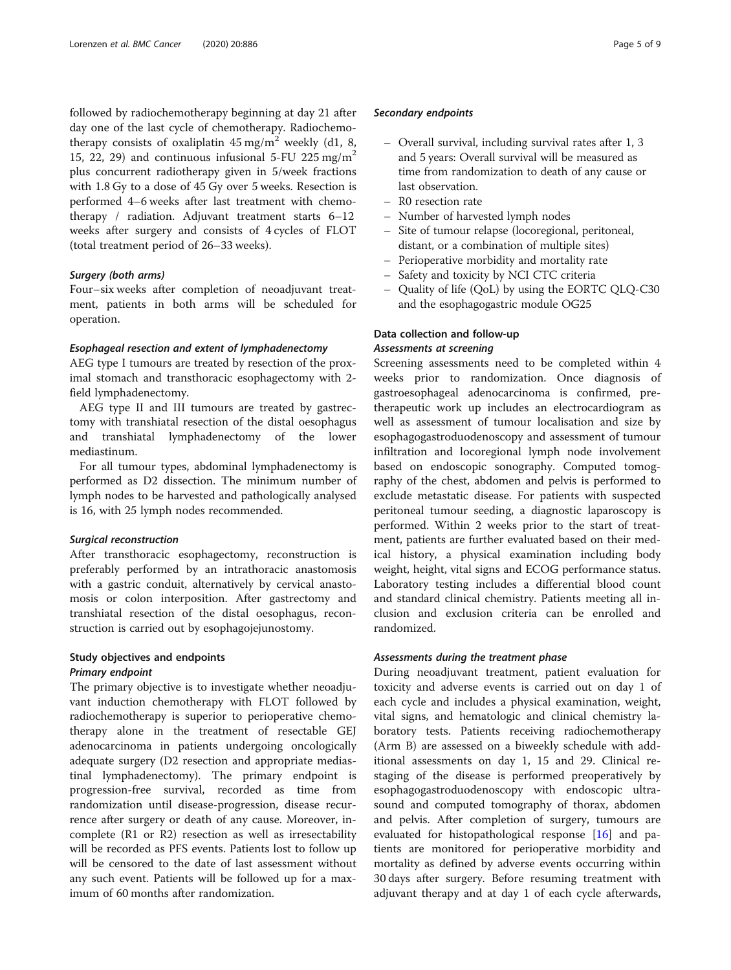followed by radiochemotherapy beginning at day 21 after day one of the last cycle of chemotherapy. Radiochemotherapy consists of oxaliplatin  $45 \text{ mg/m}^2$  weekly (d1, 8, 15, 22, 29) and continuous infusional 5-FU 225 mg/m<sup>2</sup> plus concurrent radiotherapy given in 5/week fractions with 1.8 Gy to a dose of 45 Gy over 5 weeks. Resection is performed 4–6 weeks after last treatment with chemotherapy / radiation. Adjuvant treatment starts 6–12 weeks after surgery and consists of 4 cycles of FLOT (total treatment period of 26–33 weeks).

# Surgery (both arms)

Four–six weeks after completion of neoadjuvant treatment, patients in both arms will be scheduled for operation.

#### Esophageal resection and extent of lymphadenectomy

AEG type I tumours are treated by resection of the proximal stomach and transthoracic esophagectomy with 2 field lymphadenectomy.

AEG type II and III tumours are treated by gastrectomy with transhiatal resection of the distal oesophagus and transhiatal lymphadenectomy of the lower mediastinum.

For all tumour types, abdominal lymphadenectomy is performed as D2 dissection. The minimum number of lymph nodes to be harvested and pathologically analysed is 16, with 25 lymph nodes recommended.

#### Surgical reconstruction

After transthoracic esophagectomy, reconstruction is preferably performed by an intrathoracic anastomosis with a gastric conduit, alternatively by cervical anastomosis or colon interposition. After gastrectomy and transhiatal resection of the distal oesophagus, reconstruction is carried out by esophagojejunostomy.

# Study objectives and endpoints Primary endpoint

The primary objective is to investigate whether neoadjuvant induction chemotherapy with FLOT followed by radiochemotherapy is superior to perioperative chemotherapy alone in the treatment of resectable GEJ adenocarcinoma in patients undergoing oncologically adequate surgery (D2 resection and appropriate mediastinal lymphadenectomy). The primary endpoint is progression-free survival, recorded as time from randomization until disease-progression, disease recurrence after surgery or death of any cause. Moreover, incomplete (R1 or R2) resection as well as irresectability will be recorded as PFS events. Patients lost to follow up will be censored to the date of last assessment without any such event. Patients will be followed up for a maximum of 60 months after randomization.

#### Secondary endpoints

- Overall survival, including survival rates after 1, 3 and 5 years: Overall survival will be measured as time from randomization to death of any cause or last observation.
- R0 resection rate
- Number of harvested lymph nodes
- Site of tumour relapse (locoregional, peritoneal, distant, or a combination of multiple sites)
- Perioperative morbidity and mortality rate
- Safety and toxicity by NCI CTC criteria
- Quality of life (QoL) by using the EORTC QLQ-C30 and the esophagogastric module OG25

# Data collection and follow-up Assessments at screening

Screening assessments need to be completed within 4 weeks prior to randomization. Once diagnosis of gastroesophageal adenocarcinoma is confirmed, pretherapeutic work up includes an electrocardiogram as well as assessment of tumour localisation and size by esophagogastroduodenoscopy and assessment of tumour infiltration and locoregional lymph node involvement based on endoscopic sonography. Computed tomography of the chest, abdomen and pelvis is performed to exclude metastatic disease. For patients with suspected peritoneal tumour seeding, a diagnostic laparoscopy is performed. Within 2 weeks prior to the start of treatment, patients are further evaluated based on their medical history, a physical examination including body weight, height, vital signs and ECOG performance status. Laboratory testing includes a differential blood count and standard clinical chemistry. Patients meeting all inclusion and exclusion criteria can be enrolled and randomized.

#### Assessments during the treatment phase

During neoadjuvant treatment, patient evaluation for toxicity and adverse events is carried out on day 1 of each cycle and includes a physical examination, weight, vital signs, and hematologic and clinical chemistry laboratory tests. Patients receiving radiochemotherapy (Arm B) are assessed on a biweekly schedule with additional assessments on day 1, 15 and 29. Clinical restaging of the disease is performed preoperatively by esophagogastroduodenoscopy with endoscopic ultrasound and computed tomography of thorax, abdomen and pelvis. After completion of surgery, tumours are evaluated for histopathological response [[16\]](#page-7-0) and patients are monitored for perioperative morbidity and mortality as defined by adverse events occurring within 30 days after surgery. Before resuming treatment with adjuvant therapy and at day 1 of each cycle afterwards,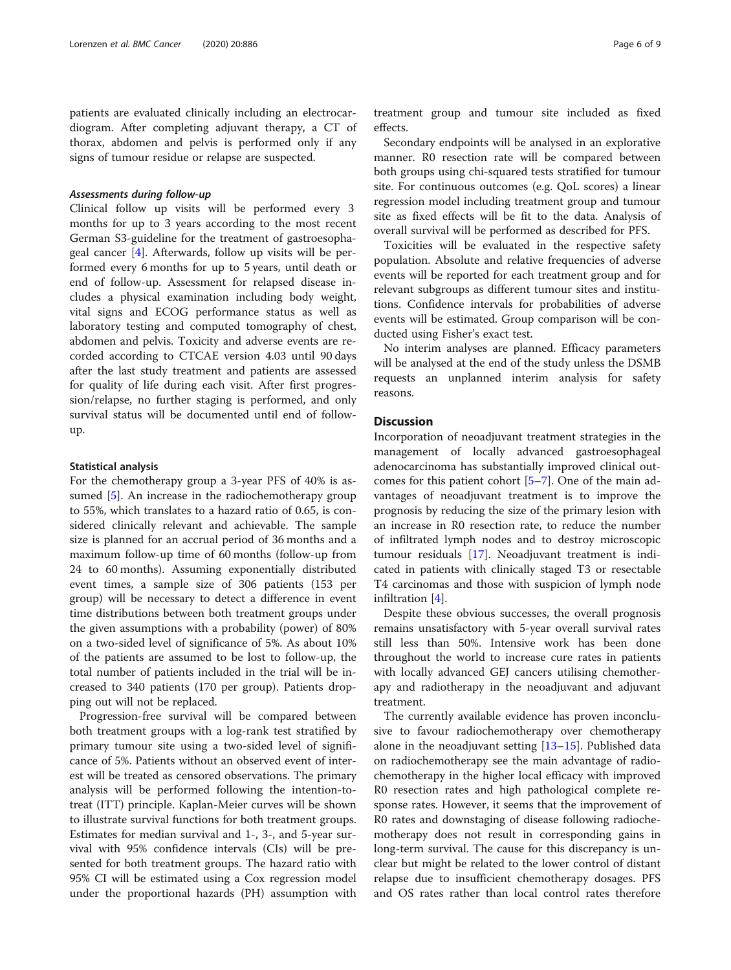patients are evaluated clinically including an electrocardiogram. After completing adjuvant therapy, a CT of thorax, abdomen and pelvis is performed only if any signs of tumour residue or relapse are suspected.

## Assessments during follow-up

Clinical follow up visits will be performed every 3 months for up to 3 years according to the most recent German S3-guideline for the treatment of gastroesophageal cancer [\[4](#page-7-0)]. Afterwards, follow up visits will be performed every 6 months for up to 5 years, until death or end of follow-up. Assessment for relapsed disease includes a physical examination including body weight, vital signs and ECOG performance status as well as laboratory testing and computed tomography of chest, abdomen and pelvis. Toxicity and adverse events are recorded according to CTCAE version 4.03 until 90 days after the last study treatment and patients are assessed for quality of life during each visit. After first progression/relapse, no further staging is performed, and only survival status will be documented until end of followup.

#### Statistical analysis

For the chemotherapy group a 3-year PFS of 40% is as-sumed [\[5](#page-7-0)]. An increase in the radiochemotherapy group to 55%, which translates to a hazard ratio of 0.65, is considered clinically relevant and achievable. The sample size is planned for an accrual period of 36 months and a maximum follow-up time of 60 months (follow-up from 24 to 60 months). Assuming exponentially distributed event times, a sample size of 306 patients (153 per group) will be necessary to detect a difference in event time distributions between both treatment groups under the given assumptions with a probability (power) of 80% on a two-sided level of significance of 5%. As about 10% of the patients are assumed to be lost to follow-up, the total number of patients included in the trial will be increased to 340 patients (170 per group). Patients dropping out will not be replaced.

Progression-free survival will be compared between both treatment groups with a log-rank test stratified by primary tumour site using a two-sided level of significance of 5%. Patients without an observed event of interest will be treated as censored observations. The primary analysis will be performed following the intention-totreat (ITT) principle. Kaplan-Meier curves will be shown to illustrate survival functions for both treatment groups. Estimates for median survival and 1-, 3-, and 5-year survival with 95% confidence intervals (CIs) will be presented for both treatment groups. The hazard ratio with 95% CI will be estimated using a Cox regression model under the proportional hazards (PH) assumption with

treatment group and tumour site included as fixed effects.

Secondary endpoints will be analysed in an explorative manner. R0 resection rate will be compared between both groups using chi-squared tests stratified for tumour site. For continuous outcomes (e.g. QoL scores) a linear regression model including treatment group and tumour site as fixed effects will be fit to the data. Analysis of overall survival will be performed as described for PFS.

Toxicities will be evaluated in the respective safety population. Absolute and relative frequencies of adverse events will be reported for each treatment group and for relevant subgroups as different tumour sites and institutions. Confidence intervals for probabilities of adverse events will be estimated. Group comparison will be conducted using Fisher's exact test.

No interim analyses are planned. Efficacy parameters will be analysed at the end of the study unless the DSMB requests an unplanned interim analysis for safety reasons.

# Discussion

Incorporation of neoadjuvant treatment strategies in the management of locally advanced gastroesophageal adenocarcinoma has substantially improved clinical outcomes for this patient cohort [\[5](#page-7-0)–[7](#page-7-0)]. One of the main advantages of neoadjuvant treatment is to improve the prognosis by reducing the size of the primary lesion with an increase in R0 resection rate, to reduce the number of infiltrated lymph nodes and to destroy microscopic tumour residuals [[17\]](#page-7-0). Neoadjuvant treatment is indicated in patients with clinically staged T3 or resectable T4 carcinomas and those with suspicion of lymph node infiltration [\[4](#page-7-0)].

Despite these obvious successes, the overall prognosis remains unsatisfactory with 5-year overall survival rates still less than 50%. Intensive work has been done throughout the world to increase cure rates in patients with locally advanced GEJ cancers utilising chemotherapy and radiotherapy in the neoadjuvant and adjuvant treatment.

The currently available evidence has proven inconclusive to favour radiochemotherapy over chemotherapy alone in the neoadjuvant setting [\[13](#page-7-0)–[15\]](#page-7-0). Published data on radiochemotherapy see the main advantage of radiochemotherapy in the higher local efficacy with improved R0 resection rates and high pathological complete response rates. However, it seems that the improvement of R0 rates and downstaging of disease following radiochemotherapy does not result in corresponding gains in long-term survival. The cause for this discrepancy is unclear but might be related to the lower control of distant relapse due to insufficient chemotherapy dosages. PFS and OS rates rather than local control rates therefore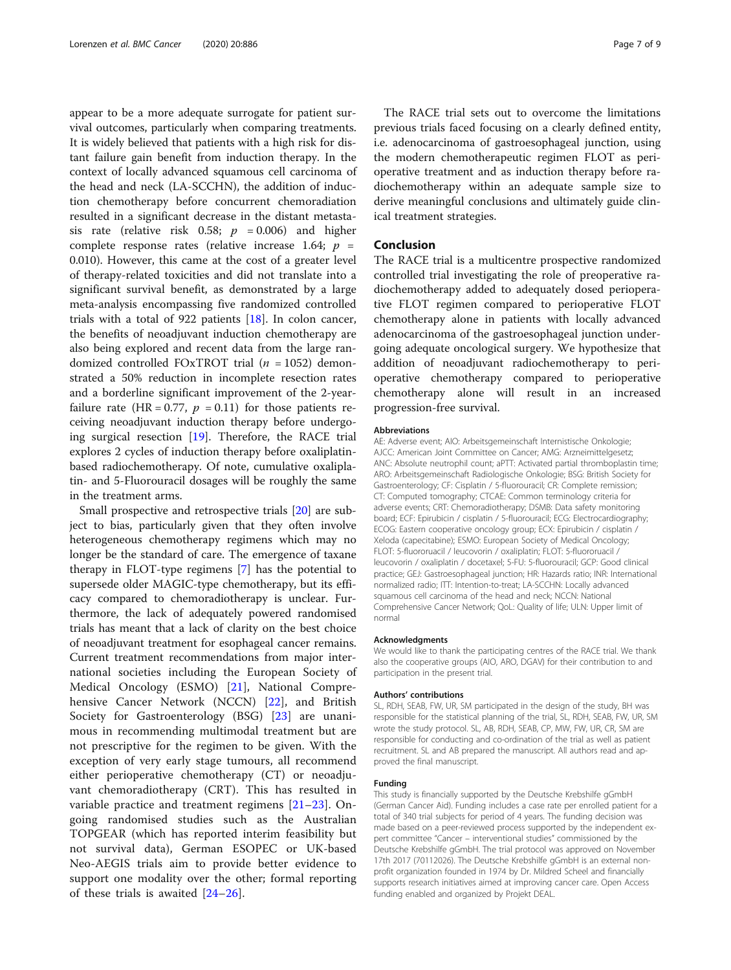appear to be a more adequate surrogate for patient survival outcomes, particularly when comparing treatments. It is widely believed that patients with a high risk for distant failure gain benefit from induction therapy. In the context of locally advanced squamous cell carcinoma of the head and neck (LA-SCCHN), the addition of induction chemotherapy before concurrent chemoradiation resulted in a significant decrease in the distant metastasis rate (relative risk 0.58;  $p = 0.006$ ) and higher complete response rates (relative increase 1.64;  $p =$ 0.010). However, this came at the cost of a greater level of therapy-related toxicities and did not translate into a significant survival benefit, as demonstrated by a large meta-analysis encompassing five randomized controlled trials with a total of 922 patients [\[18](#page-7-0)]. In colon cancer, the benefits of neoadjuvant induction chemotherapy are also being explored and recent data from the large randomized controlled FOxTROT trial ( $n = 1052$ ) demonstrated a 50% reduction in incomplete resection rates and a borderline significant improvement of the 2-yearfailure rate (HR = 0.77,  $p = 0.11$ ) for those patients receiving neoadjuvant induction therapy before undergoing surgical resection [[19\]](#page-7-0). Therefore, the RACE trial explores 2 cycles of induction therapy before oxaliplatinbased radiochemotherapy. Of note, cumulative oxaliplatin- and 5-Fluorouracil dosages will be roughly the same in the treatment arms.

Small prospective and retrospective trials [[20\]](#page-7-0) are subject to bias, particularly given that they often involve heterogeneous chemotherapy regimens which may no longer be the standard of care. The emergence of taxane therapy in FLOT-type regimens [\[7](#page-7-0)] has the potential to supersede older MAGIC-type chemotherapy, but its efficacy compared to chemoradiotherapy is unclear. Furthermore, the lack of adequately powered randomised trials has meant that a lack of clarity on the best choice of neoadjuvant treatment for esophageal cancer remains. Current treatment recommendations from major international societies including the European Society of Medical Oncology (ESMO) [\[21](#page-7-0)], National Comprehensive Cancer Network (NCCN) [[22\]](#page-7-0), and British Society for Gastroenterology (BSG) [\[23](#page-7-0)] are unanimous in recommending multimodal treatment but are not prescriptive for the regimen to be given. With the exception of very early stage tumours, all recommend either perioperative chemotherapy (CT) or neoadjuvant chemoradiotherapy (CRT). This has resulted in variable practice and treatment regimens [\[21](#page-7-0)–[23](#page-7-0)]. Ongoing randomised studies such as the Australian TOPGEAR (which has reported interim feasibility but not survival data), German ESOPEC or UK-based Neo-AEGIS trials aim to provide better evidence to support one modality over the other; formal reporting of these trials is awaited  $[24-26]$  $[24-26]$  $[24-26]$  $[24-26]$  $[24-26]$ .

The RACE trial sets out to overcome the limitations previous trials faced focusing on a clearly defined entity, i.e. adenocarcinoma of gastroesophageal junction, using the modern chemotherapeutic regimen FLOT as perioperative treatment and as induction therapy before radiochemotherapy within an adequate sample size to derive meaningful conclusions and ultimately guide clinical treatment strategies.

#### Conclusion

The RACE trial is a multicentre prospective randomized controlled trial investigating the role of preoperative radiochemotherapy added to adequately dosed perioperative FLOT regimen compared to perioperative FLOT chemotherapy alone in patients with locally advanced adenocarcinoma of the gastroesophageal junction undergoing adequate oncological surgery. We hypothesize that addition of neoadjuvant radiochemotherapy to perioperative chemotherapy compared to perioperative chemotherapy alone will result in an increased progression-free survival.

#### Abbreviations

AE: Adverse event; AIO: Arbeitsgemeinschaft Internistische Onkologie; AJCC: American Joint Committee on Cancer; AMG: Arzneimittelgesetz; ANC: Absolute neutrophil count; aPTT: Activated partial thromboplastin time; ARO: Arbeitsgemeinschaft Radiologische Onkologie; BSG: British Society for Gastroenterology; CF: Cisplatin / 5-fluorouracil; CR: Complete remission; CT: Computed tomography; CTCAE: Common terminology criteria for adverse events; CRT: Chemoradiotherapy; DSMB: Data safety monitoring board; ECF: Epirubicin / cisplatin / 5-fluorouracil; ECG: Electrocardiography; ECOG: Eastern cooperative oncology group; ECX: Epirubicin / cisplatin / Xeloda (capecitabine); ESMO: European Society of Medical Oncology; FLOT: 5-fluororuacil / leucovorin / oxaliplatin; FLOT: 5-fluororuacil / leucovorin / oxaliplatin / docetaxel; 5-FU: 5-fluorouracil; GCP: Good clinical practice; GEJ: Gastroesophageal junction; HR: Hazards ratio; INR: International normalized radio; ITT: Intention-to-treat; LA-SCCHN: Locally advanced squamous cell carcinoma of the head and neck; NCCN: National Comprehensive Cancer Network; QoL: Quality of life; ULN: Upper limit of normal

#### Acknowledgments

We would like to thank the participating centres of the RACE trial. We thank also the cooperative groups (AIO, ARO, DGAV) for their contribution to and participation in the present trial.

#### Authors' contributions

SL, RDH, SEAB, FW, UR, SM participated in the design of the study, BH was responsible for the statistical planning of the trial, SL, RDH, SEAB, FW, UR, SM wrote the study protocol. SL, AB, RDH, SEAB, CP, MW, FW, UR, CR, SM are responsible for conducting and co-ordination of the trial as well as patient recruitment. SL and AB prepared the manuscript. All authors read and approved the final manuscript.

#### Funding

This study is financially supported by the Deutsche Krebshilfe gGmbH (German Cancer Aid). Funding includes a case rate per enrolled patient for a total of 340 trial subjects for period of 4 years. The funding decision was made based on a peer-reviewed process supported by the independent expert committee "Cancer – interventional studies" commissioned by the Deutsche Krebshilfe gGmbH. The trial protocol was approved on November 17th 2017 (70112026). The Deutsche Krebshilfe gGmbH is an external nonprofit organization founded in 1974 by Dr. Mildred Scheel and financially supports research initiatives aimed at improving cancer care. Open Access funding enabled and organized by Projekt DEAL.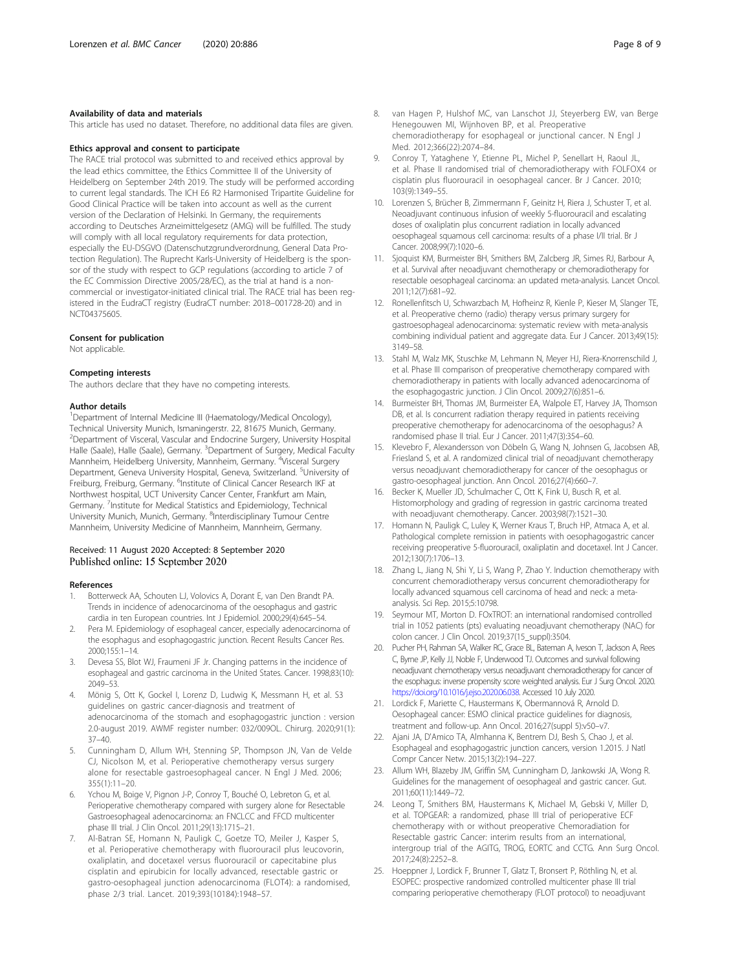#### <span id="page-7-0"></span>Availability of data and materials

This article has used no dataset. Therefore, no additional data files are given.

#### Ethics approval and consent to participate

The RACE trial protocol was submitted to and received ethics approval by the lead ethics committee, the Ethics Committee II of the University of Heidelberg on September 24th 2019. The study will be performed according to current legal standards. The ICH E6 R2 Harmonised Tripartite Guideline for Good Clinical Practice will be taken into account as well as the current version of the Declaration of Helsinki. In Germany, the requirements according to Deutsches Arzneimittelgesetz (AMG) will be fulfilled. The study will comply with all local regulatory requirements for data protection, especially the EU-DSGVO (Datenschutzgrundverordnung, General Data Protection Regulation). The Ruprecht Karls-University of Heidelberg is the sponsor of the study with respect to GCP regulations (according to article 7 of the EC Commission Directive 2005/28/EC), as the trial at hand is a noncommercial or investigator-initiated clinical trial. The RACE trial has been registered in the EudraCT registry (EudraCT number: 2018–001728-20) and in NCT04375605.

#### Consent for publication

Not applicable.

#### Competing interests

The authors declare that they have no competing interests.

#### Author details

<sup>1</sup>Department of Internal Medicine III (Haematology/Medical Oncology), Technical University Munich, Ismaningerstr. 22, 81675 Munich, Germany. 2 Department of Visceral, Vascular and Endocrine Surgery, University Hospital Halle (Saale), Halle (Saale), Germany. <sup>3</sup>Department of Surgery, Medical Faculty Mannheim, Heidelberg University, Mannheim, Germany. <sup>4</sup>Visceral Surgery Department, Geneva University Hospital, Geneva, Switzerland. <sup>5</sup>University of Freiburg, Freiburg, Germany. <sup>6</sup>Institute of Clinical Cancer Research IKF at Northwest hospital, UCT University Cancer Center, Frankfurt am Main, Germany. <sup>7</sup>Institute for Medical Statistics and Epidemiology, Technical University Munich, Munich, Germany. <sup>8</sup>Interdisciplinary Tumour Centre Mannheim, University Medicine of Mannheim, Mannheim, Germany.

### Received: 11 August 2020 Accepted: 8 September 2020 Published online: 15 September 2020

#### References

- 1. Botterweck AA, Schouten LJ, Volovics A, Dorant E, van Den Brandt PA. Trends in incidence of adenocarcinoma of the oesophagus and gastric cardia in ten European countries. Int J Epidemiol. 2000;29(4):645–54.
- 2. Pera M. Epidemiology of esophageal cancer, especially adenocarcinoma of the esophagus and esophagogastric junction. Recent Results Cancer Res. 2000;155:1–14.
- 3. Devesa SS, Blot WJ, Fraumeni JF Jr. Changing patterns in the incidence of esophageal and gastric carcinoma in the United States. Cancer. 1998;83(10): 2049–53.
- Mönig S, Ott K, Gockel I, Lorenz D, Ludwig K, Messmann H, et al. S3 guidelines on gastric cancer-diagnosis and treatment of adenocarcinoma of the stomach and esophagogastric junction : version 2.0-august 2019. AWMF register number: 032/009OL. Chirurg. 2020;91(1): 37–40.
- 5. Cunningham D, Allum WH, Stenning SP, Thompson JN, Van de Velde CJ, Nicolson M, et al. Perioperative chemotherapy versus surgery alone for resectable gastroesophageal cancer. N Engl J Med. 2006; 355(1):11–20.
- Ychou M, Boige V, Pignon J-P, Conroy T, Bouché O, Lebreton G, et al. Perioperative chemotherapy compared with surgery alone for Resectable Gastroesophageal adenocarcinoma: an FNCLCC and FFCD multicenter phase III trial. J Clin Oncol. 2011;29(13):1715–21.
- 7. Al-Batran SE, Homann N, Pauligk C, Goetze TO, Meiler J, Kasper S, et al. Perioperative chemotherapy with fluorouracil plus leucovorin, oxaliplatin, and docetaxel versus fluorouracil or capecitabine plus cisplatin and epirubicin for locally advanced, resectable gastric or gastro-oesophageal junction adenocarcinoma (FLOT4): a randomised, phase 2/3 trial. Lancet. 2019;393(10184):1948–57.
- 8. van Hagen P, Hulshof MC, van Lanschot JJ, Steyerberg EW, van Berge Henegouwen MI, Wijnhoven BP, et al. Preoperative chemoradiotherapy for esophageal or junctional cancer. N Engl J Med. 2012;366(22):2074–84.
- 9. Conroy T, Yataghene Y, Etienne PL, Michel P, Senellart H, Raoul JL, et al. Phase II randomised trial of chemoradiotherapy with FOLFOX4 or cisplatin plus fluorouracil in oesophageal cancer. Br J Cancer. 2010; 103(9):1349–55.
- 10. Lorenzen S, Brücher B, Zimmermann F, Geinitz H, Riera J, Schuster T, et al. Neoadjuvant continuous infusion of weekly 5-fluorouracil and escalating doses of oxaliplatin plus concurrent radiation in locally advanced oesophageal squamous cell carcinoma: results of a phase I/II trial. Br J Cancer. 2008;99(7):1020–6.
- 11. Sjoquist KM, Burmeister BH, Smithers BM, Zalcberg JR, Simes RJ, Barbour A, et al. Survival after neoadjuvant chemotherapy or chemoradiotherapy for resectable oesophageal carcinoma: an updated meta-analysis. Lancet Oncol. 2011;12(7):681–92.
- 12. Ronellenfitsch U, Schwarzbach M, Hofheinz R, Kienle P, Kieser M, Slanger TE, et al. Preoperative chemo (radio) therapy versus primary surgery for gastroesophageal adenocarcinoma: systematic review with meta-analysis combining individual patient and aggregate data. Eur J Cancer. 2013;49(15): 3149–58.
- 13. Stahl M, Walz MK, Stuschke M, Lehmann N, Meyer HJ, Riera-Knorrenschild J, et al. Phase III comparison of preoperative chemotherapy compared with chemoradiotherapy in patients with locally advanced adenocarcinoma of the esophagogastric junction. J Clin Oncol. 2009;27(6):851–6.
- 14. Burmeister BH, Thomas JM, Burmeister EA, Walpole ET, Harvey JA, Thomson DB, et al. Is concurrent radiation therapy required in patients receiving preoperative chemotherapy for adenocarcinoma of the oesophagus? A randomised phase II trial. Eur J Cancer. 2011;47(3):354–60.
- 15. Klevebro F, Alexandersson von Döbeln G, Wang N, Johnsen G, Jacobsen AB, Friesland S, et al. A randomized clinical trial of neoadjuvant chemotherapy versus neoadjuvant chemoradiotherapy for cancer of the oesophagus or gastro-oesophageal junction. Ann Oncol. 2016;27(4):660–7.
- 16. Becker K, Mueller JD, Schulmacher C, Ott K, Fink U, Busch R, et al. Histomorphology and grading of regression in gastric carcinoma treated with neoadjuvant chemotherapy. Cancer. 2003;98(7):1521–30.
- 17. Homann N, Pauligk C, Luley K, Werner Kraus T, Bruch HP, Atmaca A, et al. Pathological complete remission in patients with oesophagogastric cancer receiving preoperative 5-fluorouracil, oxaliplatin and docetaxel. Int J Cancer. 2012;130(7):1706–13.
- 18. Zhang L, Jiang N, Shi Y, Li S, Wang P, Zhao Y. Induction chemotherapy with concurrent chemoradiotherapy versus concurrent chemoradiotherapy for locally advanced squamous cell carcinoma of head and neck: a metaanalysis. Sci Rep. 2015;5:10798.
- 19. Seymour MT, Morton D. FOxTROT: an international randomised controlled trial in 1052 patients (pts) evaluating neoadjuvant chemotherapy (NAC) for colon cancer. J Clin Oncol. 2019;37(15\_suppl):3504.
- 20. Pucher PH, Rahman SA, Walker RC, Grace BL, Bateman A, Iveson T, Jackson A, Rees C, Byrne JP, Kelly JJ, Noble F, Underwood TJ. Outcomes and survival following neoadjuvant chemotherapy versus neoadjuvant chemoradiotherapy for cancer of the esophagus: inverse propensity score weighted analysis. Eur J Surg Oncol. 2020. [https://doi.org/10.1016/j.ejso.2020.06.038.](https://doi.org/10.1016/j.ejso.2020.06.038) Accessed 10 July 2020.
- 21. Lordick F, Mariette C, Haustermans K, Obermannová R, Arnold D. Oesophageal cancer: ESMO clinical practice guidelines for diagnosis, treatment and follow-up. Ann Oncol. 2016;27(suppl 5):v50–v7.
- Ajani JA, D'Amico TA, Almhanna K, Bentrem DJ, Besh S, Chao J, et al. Esophageal and esophagogastric junction cancers, version 1.2015. J Natl Compr Cancer Netw. 2015;13(2):194–227.
- 23. Allum WH, Blazeby JM, Griffin SM, Cunningham D, Jankowski JA, Wong R. Guidelines for the management of oesophageal and gastric cancer. Gut. 2011;60(11):1449–72.
- 24. Leong T, Smithers BM, Haustermans K, Michael M, Gebski V, Miller D, et al. TOPGEAR: a randomized, phase III trial of perioperative ECF chemotherapy with or without preoperative Chemoradiation for Resectable gastric Cancer: interim results from an international, intergroup trial of the AGITG, TROG, EORTC and CCTG. Ann Surg Oncol. 2017;24(8):2252–8.
- 25. Hoeppner J, Lordick F, Brunner T, Glatz T, Bronsert P, Röthling N, et al. ESOPEC: prospective randomized controlled multicenter phase III trial comparing perioperative chemotherapy (FLOT protocol) to neoadjuvant